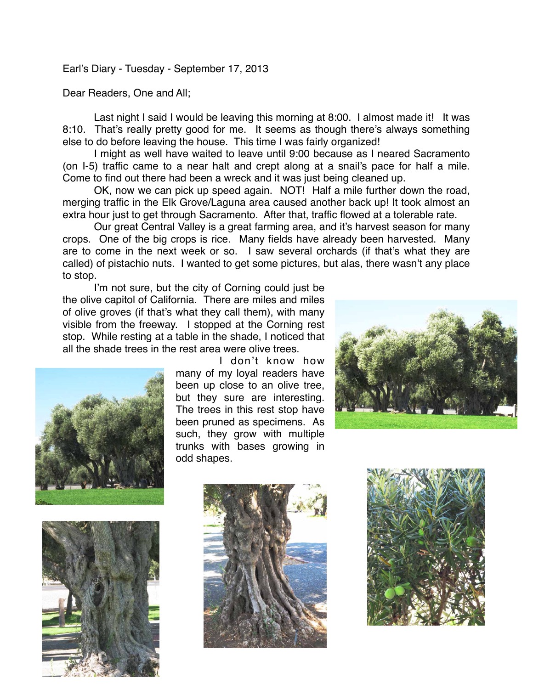Earl's Diary - Tuesday - September 17, 2013

Dear Readers, One and All;

Last night I said I would be leaving this morning at 8:00. I almost made it! It was 8:10. That's really pretty good for me. It seems as though there's always something else to do before leaving the house. This time I was fairly organized!

I might as well have waited to leave until 9:00 because as I neared Sacramento (on I-5) traffic came to a near halt and crept along at a snail's pace for half a mile. Come to find out there had been a wreck and it was just being cleaned up.

OK, now we can pick up speed again. NOT! Half a mile further down the road, merging traffic in the Elk Grove/Laguna area caused another back up! It took almost an extra hour just to get through Sacramento. After that, traffic flowed at a tolerable rate.

Our great Central Valley is a great farming area, and it's harvest season for many crops. One of the big crops is rice. Many fields have already been harvested. Many are to come in the next week or so. I saw several orchards (if that's what they are called) of pistachio nuts. I wanted to get some pictures, but alas, there wasn't any place to stop.

I'm not sure, but the city of Corning could just be the olive capitol of California. There are miles and miles of olive groves (if that's what they call them), with many visible from the freeway. I stopped at the Corning rest stop. While resting at a table in the shade, I noticed that all the shade trees in the rest area were olive trees.



I don't know how many of my loyal readers have been up close to an olive tree, but they sure are interesting. The trees in this rest stop have been pruned as specimens. As such, they grow with multiple trunks with bases growing in odd shapes.